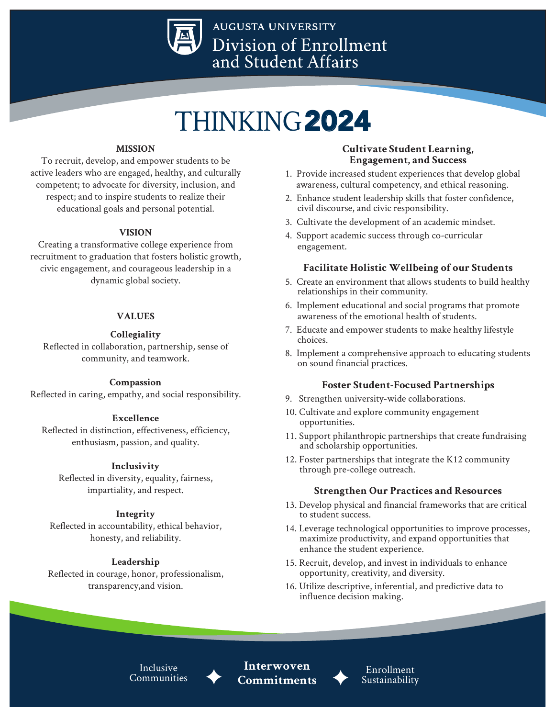

**AUGUSTA UNIVERSITY** Division of Enrollment and Student Affairs

# THINKING2024

#### **MISSION**

To recruit, develop, and empower students to be active leaders who are engaged, healthy, and culturally competent; to advocate for diversity, inclusion, and respect; and to inspire students to realize their educational goals and personal potential.

#### **VISION**

Creating a transformative college experience from recruitment to graduation that fosters holistic growth, civic engagement, and courageous leadership in a dynamic global society.

### **VALUES**

### **Collegiality**

Reflected in collaboration, partnership, sense of community, and teamwork.

#### **Compassion**

Reflected in caring, empathy, and social responsibility.

#### **Excellence**

Reflected in distinction, effectiveness, efficiency, enthusiasm, passion, and quality.

#### **Inclusivity**

Reflected in diversity, equality, fairness, impartiality, and respect.

#### **Integrity**

Reflected in accountability, ethical behavior, honesty, and reliability.

#### **Leadership**

Reflected in courage, honor, professionalism, transparency,and vision.

## **Cultivate Student Learning, Engagement, and Success**

- 1. Provide increased student experiences that develop global awareness, cultural competency, and ethical reasoning.
- 2. Enhance student leadership skills that foster confidence, civil discourse, and civic responsibility.
- 3. Cultivate the development of an academic mindset.
- 4. Support academic success through co-curricular engagement.

## **Facilitate Holistic Wellbeing of our Students**

- 5. Create an environment that allows students to build healthy relationships in their community.
- 6. Implement educational and social programs that promote awareness of the emotional health of students.
- 7. Educate and empower students to make healthy lifestyle choices.
- 8. Implement a comprehensive approach to educating students on sound financial practices.

## **Foster Student-Focused Partnerships**

- 9. Strengthen university-wide collaborations.
- 10. Cultivate and explore community engagement opportunities.
- 11. Support philanthropic partnerships that create fundraising and scholarship opportunities.
- 12. Foster partnerships that integrate the K12 community through pre-college outreach.

## **Strengthen Our Practices and Resources**

- 13. Develop physical and financial frameworks that are critical to student success.
- 14. Leverage technological opportunities to improve processes, maximize productivity, and expand opportunities that enhance the student experience.
- 15. Recruit, develop, and invest in individuals to enhance opportunity, creativity, and diversity.
- 16. Utilize descriptive, inferential, and predictive data to influence decision making.

Inclusive **Communities** 

**Interwoven Commitments**